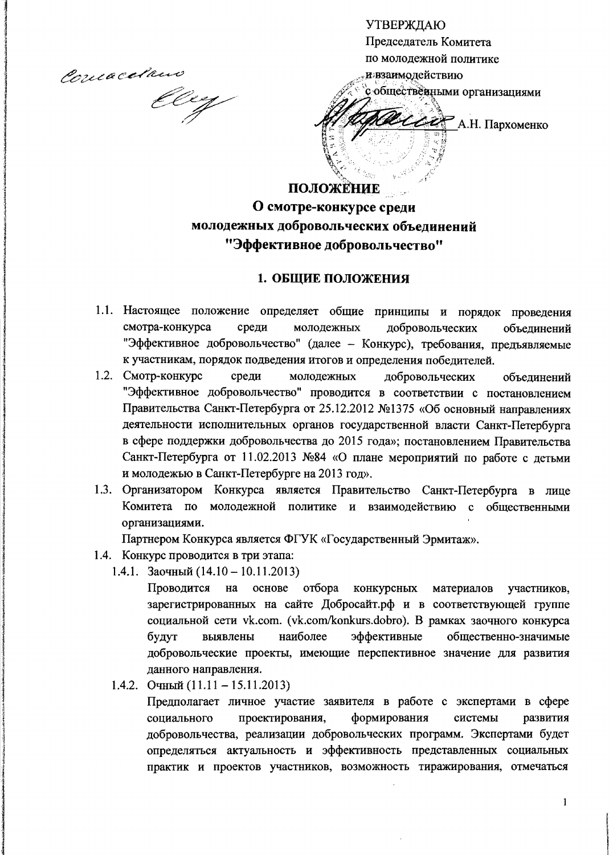Comacelan

macelano

**УТВЕРЖДАЮ** Председатель Комитета по молодежной политике и взаимодействию с общественными организациями  $\mathbb{Z}$  / А.Н. Пархоменко

## ПОЛОЖЕНИЕ О смотре-конкурсе среди молодежных добровольческих объединений "Эффективное добровольчество"

#### 1. ОБЩИЕ ПОЛОЖЕНИЯ

- 1.1. Настоящее положение определяет общие принципы и порядок проведения смотра-конкурса среди молодежных добровольческих объелинений "Эффективное добровольчество" (далее - Конкурс), требования, предъявляемые к участникам, порядок подведения итогов и определения победителей.
- 1.2. Смотр-конкурс среди молодежных добровольческих объелинений "Эффективное добровольчество" проводится в соответствии с постановлением Правительства Санкт-Петербурга от 25.12.2012 №1375 «Об основный направлениях деятельности исполнительных органов государственной власти Санкт-Петербурга в сфере поддержки добровольчества до 2015 года»; постановлением Правительства Санкт-Петербурга от 11.02.2013 №84 «О плане мероприятий по работе с детьми и молодежью в Санкт-Петербурге на 2013 год».
- 1.3. Организатором Конкурса является Правительство Санкт-Петербурга в лице Комитета по молодежной политике и взаимодействию с общественными организациями.

Партнером Конкурса является ФГУК «Государственный Эрмитаж».

- 1.4. Конкурс проводится в три этапа:
	- 1.4.1. Заочный  $(14.10 10.11.2013)$

Проводится на основе отбора конкурсных материалов участников, зарегистрированных на сайте Добросайт.рф и в соответствующей группе социальной сети vk.com. (vk.com/konkurs.dobro). В рамках заочного конкурса наиболее будут выявлены эффективные общественно-значимые добровольческие проекты, имеющие перспективное значение для развития данного направления.

1.4.2. Очный  $(11.11 - 15.11.2013)$ 

Предполагает личное участие заявителя в работе с экспертами в сфере социального проектирования, формирования системы развития добровольчества, реализации добровольческих программ. Экспертами будет определяться актуальность и эффективность представленных социальных практик и проектов участников, возможность тиражирования, отмечаться

 $\mathbf{1}$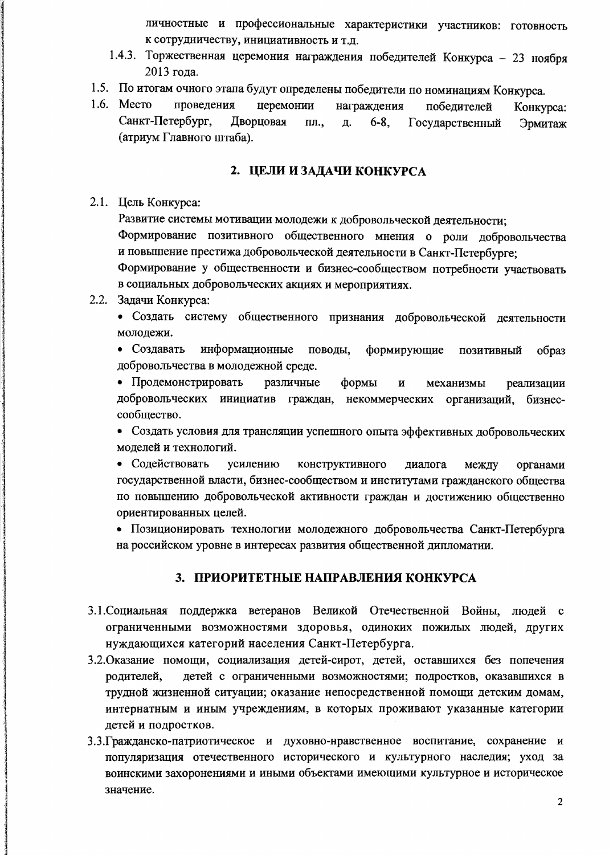личностные и профессиональные характеристики участников: готовность к сотрудничеству, инициативность и т.д.

- 1.4.3. Торжественная церемония награждения победителей Конкурса 23 ноября 2013 года.
- 1.5. По итогам очного этапа будут определены победители по номинациям Конкурса.
- 1.6. Место проведения церемонии награжления побелителей Конкурса: Санкт-Петербург, Дворцовая пл.,  $6 - 8$ . Государственный Д. Эрмитаж (атриум Главного штаба).

#### 2. ЦЕЛИ И ЗАДАЧИ КОНКУРСА

#### 2.1. Цель Конкурса:

Развитие системы мотивации молодежи к добровольческой деятельности;

Формирование позитивного общественного мнения о роли добровольчества и повышение престижа добровольческой деятельности в Санкт-Петербурге;

Формирование у общественности и бизнес-сообществом потребности участвовать в социальных добровольческих акциях и мероприятиях.

#### 2.2. Задачи Конкурса:

• Создать систему общественного признания добровольческой деятельности молодежи.

• Создавать информационные поводы. формирующие позитивный образ добровольчества в молодежной среде.

• Продемонстрировать различные формы  $\overline{\mathbf{H}}$ механизмы реализации добровольческих инициатив граждан, некоммерческих организаций, бизнессообщество.

• Создать условия для трансляции успешного опыта эффективных добровольческих моделей и технологий.

• Содействовать усилению конструктивного диалога между органами государственной власти, бизнес-сообществом и институтами гражданского общества по повышению добровольческой активности граждан и достижению общественно ориентированных целей.

• Позиционировать технологии молодежного добровольчества Санкт-Петербурга на российском уровне в интересах развития общественной дипломатии.

#### 3. ПРИОРИТЕТНЫЕ НАПРАВЛЕНИЯ КОНКУРСА

- 3.1. Социальная поддержка ветеранов Великой Отечественной Войны, людей с ограниченными возможностями здоровья, одиноких пожилых людей, других нуждающихся категорий населения Санкт-Петербурга.
- 3.2. Оказание помощи, социализация детей-сирот, детей, оставшихся без попечения детей с ограниченными возможностями; подростков, оказавшихся в родителей. трудной жизненной ситуации; оказание непосредственной помощи детским домам, интернатным и иным учреждениям, в которых проживают указанные категории детей и подростков.
- 3.3. Гражданско-патриотическое и духовно-нравственное воспитание, сохранение и популяризация отечественного исторического и культурного наследия; уход за воинскими захоронениями и иными объектами имеющими культурное и историческое значение.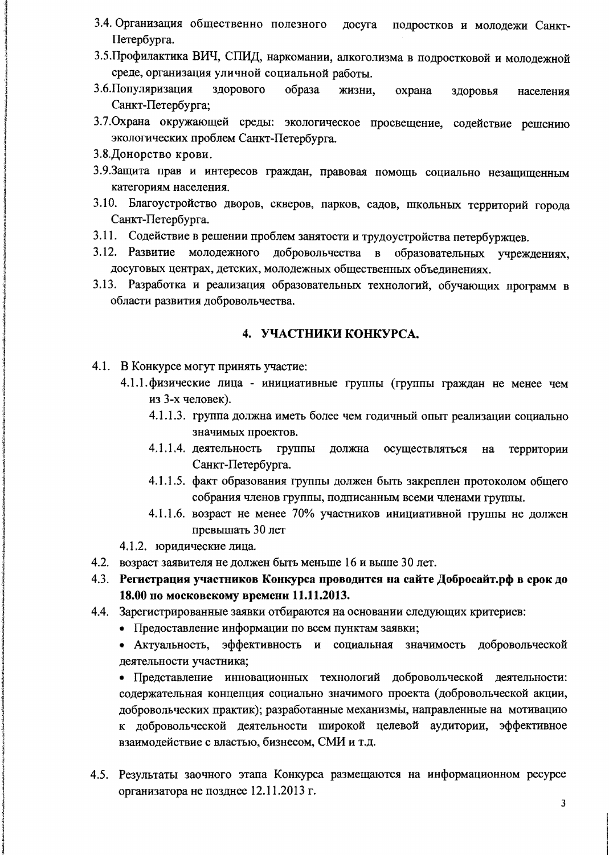- 3.4. Организация общественно полезного досуга подростков и молодежи Санкт-Петербурга.
- 3.5. Профилактика ВИЧ, СПИД, наркомании, алкоголизма в подростковой и молодежной среде, организация уличной социальной работы.
- 3.6. Популяризация здорового образа жизни. охрана здоровья населения Санкт-Петербурга;
- 3.7. Охрана окружающей среды: экологическое просвещение, содействие решению экологических проблем Санкт-Петербурга.
- 3.8. Донорство крови.
- 3.9. Защита прав и интересов граждан, правовая помощь социально незащищенным категориям населения.
- 3.10. Благоустройство дворов, скверов, парков, садов, школьных территорий города Санкт-Петербурга.
- 3.11. Содействие в решении проблем занятости и трудоустройства петербуржцев.
- 3.12. Развитие молодежного добровольчества в образовательных учреждениях. досуговых центрах, детских, молодежных общественных объединениях.
- 3.13. Разработка и реализация образовательных технологий, обучающих программ в области развития добровольчества.

#### 4. УЧАСТНИКИ КОНКУРСА.

4.1. В Конкурсе могут принять участие:

- 4.1.1. физические лица инициативные группы (группы граждан не менее чем из 3-х человек).
	- 4.1.1.3. группа должна иметь более чем годичный опыт реализации социально значимых проектов.
	- 4.1.1.4. деятельность группы должна осуществляться на территории Санкт-Петербурга.
	- 4.1.1.5. факт образования группы должен быть закреплен протоколом общего собрания членов группы, подписанным всеми членами группы.
	- 4.1.1.6. возраст не менее 70% участников инициативной группы не должен превышать 30 лет

4.1.2. юридические лица.

- 4.2. возраст заявителя не должен быть меньше 16 и выше 30 лет.
- 4.3. Регистрация участников Конкурса проводится на сайте Добросайт.рф в срок до 18.00 по московскому времени 11.11.2013.
- 4.4. Зарегистрированные заявки отбираются на основании следующих критериев:
	- Предоставление информации по всем пунктам заявки;
	- Актуальность, эффективность и социальная значимость добровольческой деятельности участника;

• Представление инновационных технологий добровольческой деятельности: содержательная концепция социально значимого проекта (добровольческой акции, добровольческих практик); разработанные механизмы, направленные на мотивацию к добровольческой деятельности широкой целевой аудитории, эффективное взаимодействие с властью, бизнесом, СМИ и т.д.

4.5. Результаты заочного этапа Конкурса размещаются на информационном ресурсе организатора не позднее 12.11.2013 г.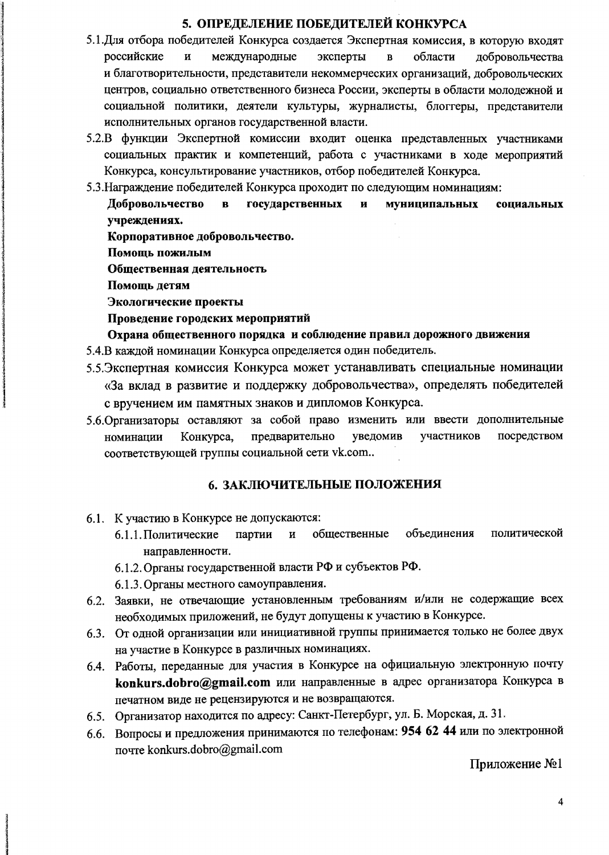#### 5. ОПРЕДЕЛЕНИЕ ПОБЕДИТЕЛЕЙ КОНКУРСА

- 5.1. Для отбора победителей Конкурса создается Экспертная комиссия, в которую входят российские  $\mathbf{H}$ международные эксперты  $\overline{\mathbf{B}}$ области добровольчества и благотворительности, представители некоммерческих организаций, добровольческих центров, социально ответственного бизнеса России, эксперты в области молодежной и социальной политики, деятели культуры, журналисты, блоггеры, представители исполнительных органов государственной власти.
- 5.2.В функции Экспертной комиссии входит оценка представленных участниками социальных практик и компетенций, работа с участниками в ходе мероприятий Конкурса, консультирование участников, отбор победителей Конкурса.
- 5.3. Награждение победителей Конкурса проходит по следующим номинациям:

Добровольчество  $\overline{\mathbf{B}}$ государственных  $\overline{\mathbf{H}}$ муниципальных социальных учреждениях.

Корпоративное добровольчество.

Помощь пожилым

Общественная деятельность

Помощь детям

Экологические проекты

#### Проведение городских мероприятий

Охрана общественного порядка и соблюдение правил дорожного движения 5.4.В каждой номинации Конкурса определяется один победитель.

- 5.5. Экспертная комиссия Конкурса может устанавливать специальные номинации
- «За вклад в развитие и поддержку добровольчества», определять победителей с вручением им памятных знаков и дипломов Конкурса.
- 5.6. Организаторы оставляют за собой право изменить или ввести дополнительные предварительно уведомив участников посредством номинации Конкурса, соответствующей группы социальной сети vk.com..

#### 6. ЗАКЛЮЧИТЕЛЬНЫЕ ПОЛОЖЕНИЯ

- 6.1. К участию в Конкурсе не допускаются:
	- политической 6.1.1. Политические партии  $\mathbf{H}$ обшественные объелинения направленности.
	- 6.1.2. Органы государственной власти РФ и субъектов РФ.
	- 6.1.3. Органы местного самоуправления.
- 6.2. Заявки, не отвечающие установленным требованиям и/или не содержащие всех необходимых приложений, не будут допущены к участию в Конкурсе.
- 6.3. От одной организации или инициативной группы принимается только не более двух на участие в Конкурсе в различных номинациях.
- 6.4. Работы, переданные для участия в Конкурсе на официальную электронную почту konkurs.dobro@gmail.com или направленные в адрес организатора Конкурса в печатном виде не рецензируются и не возвращаются.
- 6.5. Организатор находится по адресу: Санкт-Петербург, ул. Б. Морская, д. 31.
- 6.6. Вопросы и предложения принимаются по телефонам: 954 62 44 или по электронной novre konkurs.dobro@gmail.com

Приложение №1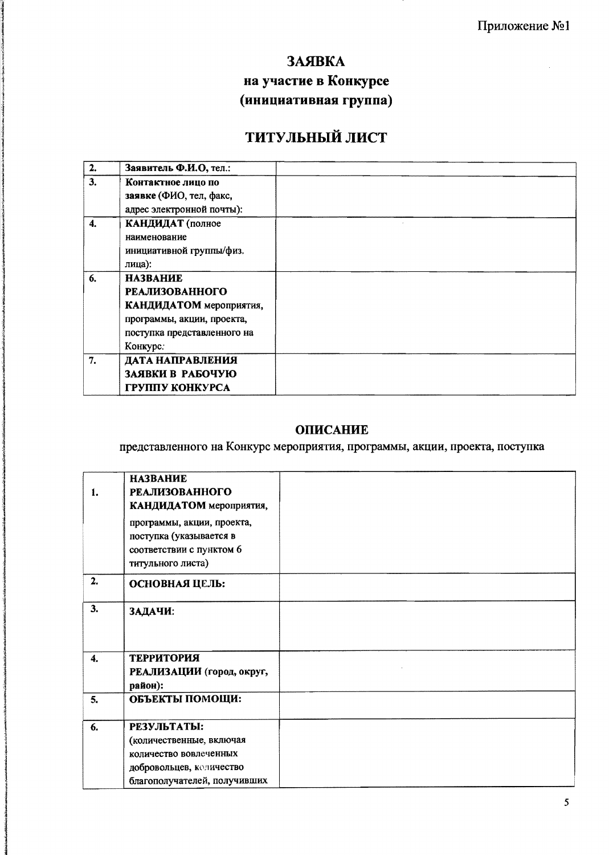### ЗАЯВКА

# на участие в Конкурсе (инициативная группа)

# ТИТУЛЬНЫЙ ЛИСТ

| 2. | Заявитель Ф.И.О, тел.:      |  |
|----|-----------------------------|--|
| 3. | Контактное лицо по          |  |
|    | заявке (ФИО, тел, факс,     |  |
|    | адрес электронной почты):   |  |
| 4. | КАНДИДАТ (полное            |  |
|    | наименование                |  |
|    | инициативной группы/физ.    |  |
|    | лица):                      |  |
| 6. | <b>НАЗВАНИЕ</b>             |  |
|    | <b>РЕАЛИЗОВАННОГО</b>       |  |
|    | КАНДИДАТОМ мероприятия,     |  |
|    | программы, акции, проекта,  |  |
|    | поступка представленного на |  |
|    | Конкурс.                    |  |
| 7. | ДАТА НАПРАВЛЕНИЯ            |  |
|    | ЗАЯВКИ В РАБОЧУЮ            |  |
|    | ГРУППУ КОНКУРСА             |  |

## **ОПИСАНИЕ**

представленного на Конкурс мероприятия, программы, акции, проекта, поступка

| 1. | <b>НАЗВАНИЕ</b><br><b>РЕАЛИЗОВАННОГО</b><br>КАНДИДАТОМ мероприятия,<br>программы, акции, проекта,<br>поступка (указывается в<br>соответствии с пунктом 6<br>титульного листа) |  |
|----|-------------------------------------------------------------------------------------------------------------------------------------------------------------------------------|--|
| 2. | ОСНОВНАЯ ЦЕЛЬ:                                                                                                                                                                |  |
| 3. | ЗАДАЧИ:                                                                                                                                                                       |  |
| 4. | <b>ТЕРРИТОРИЯ</b><br>РЕАЛИЗАЦИИ (город, округ,<br>район):                                                                                                                     |  |
| 5. | ОБЪЕКТЫ ПОМОЩИ:                                                                                                                                                               |  |
| 6. | РЕЗУЛЬТАТЫ:<br>(количественные, включая<br>количество вовлеченных<br>добровольцев, количество<br>благополучателей, получивших                                                 |  |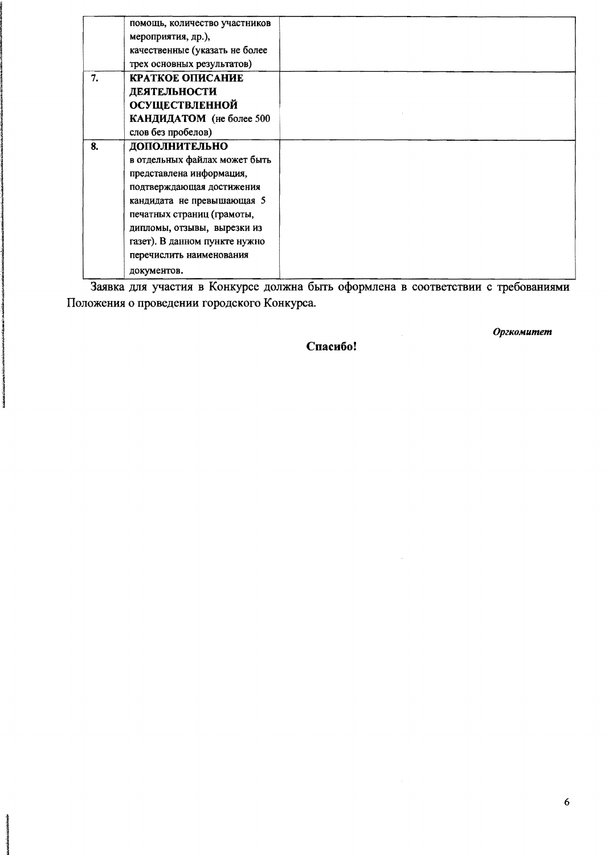|    | помощь, количество участников  |  |
|----|--------------------------------|--|
|    | мероприятия, др.),             |  |
|    | качественные (указать не более |  |
|    | трех основных результатов)     |  |
| 7. | КРАТКОЕ ОПИСАНИЕ               |  |
|    | ДЕЯТЕЛЬНОСТИ                   |  |
|    | <b>ОСУЩЕСТВЛЕННОЙ</b>          |  |
|    | КАНДИДАТОМ (не более 500       |  |
|    | слов без пробелов)             |  |
| 8. | ДОПОЛНИТЕЛЬНО                  |  |
|    | в отдельных файлах может быть  |  |
|    | представлена информация,       |  |
|    | подтверждающая достижения      |  |
|    | кандидата не превышающая 5     |  |
|    | печатных страниц (грамоты,     |  |
|    | дипломы, отзывы, вырезки из    |  |
|    | газет). В данном пункте нужно  |  |
|    | перечислить наименования       |  |
|    | документов.                    |  |

Заявка для участия в Конкурсе должна быть оформлена в соответствии с требованиями Положения о проведении городского Конкурса.

**Beach of the community of the Street** 

contribution interests the Contribution

Спасибо!

 $\hat{\mathcal{A}}$ 

Оргкомитет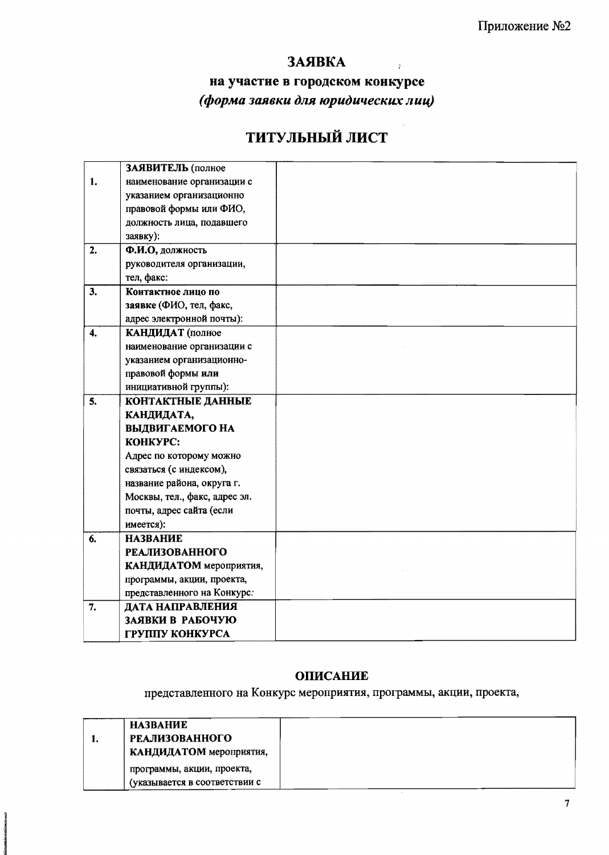### ЗАЯВКА

 $\ddot{r}$ 

## на участие в городском конкурсе (форма заявки для юридических лиц)

# ТИТУЛЬНЫЙ ЛИСТ

|                | ЗАЯВИТЕЛЬ (полное             |  |
|----------------|-------------------------------|--|
| $\mathbf{1}$ . | наименование организации с    |  |
|                | указанием организационно      |  |
|                | правовой формы или ФИО,       |  |
|                | должность лица, подавшего     |  |
|                | заявку):                      |  |
| 2.             | Ф.И.О, должность              |  |
|                | руководителя организации,     |  |
|                | тел, факс:                    |  |
| 3.             | Контактное лицо по            |  |
|                | заявке (ФИО, тел, факс,       |  |
|                | адрес электронной почты):     |  |
| $\ddot{4}$ .   | КАНДИДАТ (полное              |  |
|                | наименование организации с    |  |
|                | указанием организационно-     |  |
|                | правовой формы или            |  |
|                | инициативной группы):         |  |
| 5.             | <b>КОНТАКТНЫЕ ДАННЫЕ</b>      |  |
|                | КАНДИДАТА,                    |  |
|                | ВЫДВИГАЕМОГО НА               |  |
|                | KOHKYPC:                      |  |
|                | Адрес по которому можно       |  |
|                | связаться (с индексом),       |  |
|                | название района, округа г.    |  |
|                | Москвы, тел., факс, адрес эл. |  |
|                | почты, адрес сайта (если      |  |
|                | имеется):                     |  |
| 6.             | <b>НАЗВАНИЕ</b>               |  |
|                | <b>РЕАЛИЗОВАННОГО</b>         |  |
|                | КАНДИДАТОМ мероприятия,       |  |
|                | программы, акции, проекта,    |  |
|                | представленного на Конкурс.   |  |
| 7.             | ДАТА НАПРАВЛЕНИЯ              |  |
|                | ЗАЯВКИ В РАБОЧУЮ              |  |
|                | ГРУППУ КОНКУРСА               |  |

#### **ОПИСАНИЕ**

представленного на Конкурс мероприятия, программы, акции, проекта,

|    | <b>HA3BAHHE</b>               |  |
|----|-------------------------------|--|
| ı. | <b>РЕАЛИЗОВАННОГО</b>         |  |
|    | КАНДИДАТОМ мероприятия,       |  |
|    | программы, акции, проекта,    |  |
|    | (указывается в соответствии с |  |
|    |                               |  |

**SANG AGRAPHICAL SEASY**